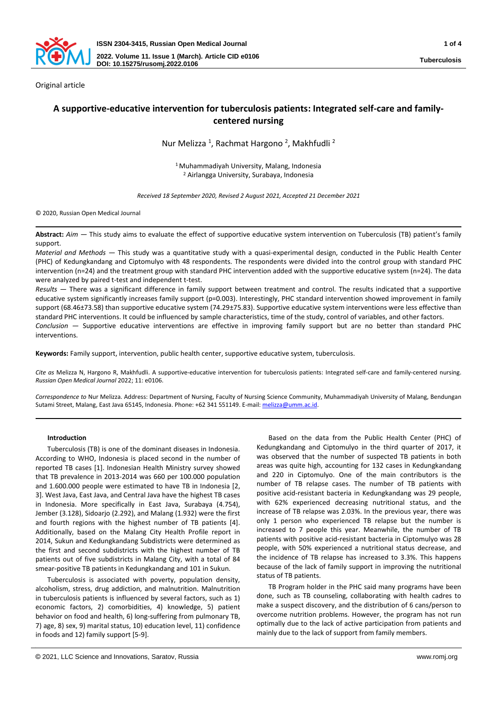

Original article

# **A supportive-educative intervention for tuberculosis patients: Integrated self-care and familycentered nursing**

Nur Melizza<sup>1</sup>, Rachmat Hargono<sup>2</sup>, Makhfudli<sup>2</sup>

<sup>1</sup> Muhammadiyah University, Malang, Indonesia <sup>2</sup> Airlangga University, Surabaya, Indonesia

*Received 18 September 2020, Revised 2 August 2021, Accepted 21 December 2021*

© 2020, Russian Open Medical Journal

**Abstract:** *Aim —* This study aims to evaluate the effect of supportive educative system intervention on Tuberculosis (TB) patient's family support.

*Material and Methods —* This study was a quantitative study with a quasi-experimental design, conducted in the Public Health Center (PHC) of Kedungkandang and Ciptomulyo with 48 respondents. The respondents were divided into the control group with standard PHC intervention (n=24) and the treatment group with standard PHC intervention added with the supportive educative system (n=24). The data were analyzed by paired t-test and independent t-test.

*Results —* There was a significant difference in family support between treatment and control. The results indicated that a supportive educative system significantly increases family support (p=0.003). Interestingly, PHC standard intervention showed improvement in family support (68.46±73.58) than supportive educative system (74.29±75.83). Supportive educative system interventions were less effective than standard PHC interventions. It could be influenced by sample characteristics, time of the study, control of variables, and other factors.

*Conclusion —* Supportive educative interventions are effective in improving family support but are no better than standard PHC interventions.

**Keywords:** Family support, intervention, public health center, supportive educative system, tuberculosis.

*Cite as* Melizza N, Hargono R, Makhfudli. A supportive-educative intervention for tuberculosis patients: Integrated self-care and family-centered nursing. *Russian Open Medical Journal* 2022; 11: e0106.

*Correspondence to* Nur Melizza. Address: Department of Nursing, Faculty of Nursing Science Community, Muhammadiyah University of Malang, Bendungan Sutami Street, Malang, East Java 65145, Indonesia. Phone: +62 341 551149. E-mail: [melizza@umm.ac.id.](mailto:melizza@umm.ac.id)

## **Introduction**

Tuberculosis (TB) is one of the dominant diseases in Indonesia. According to WHO, Indonesia is placed second in the number of reported TB cases [1]. Indonesian Health Ministry survey showed that TB prevalence in 2013-2014 was 660 per 100.000 population and 1.600.000 people were estimated to have TB in Indonesia [2, 3]. West Java, East Java, and Central Java have the highest TB cases in Indonesia. More specifically in East Java, Surabaya (4.754), Jember (3.128), Sidoarjo (2.292), and Malang (1.932) were the first and fourth regions with the highest number of TB patients [4]. Additionally, based on the Malang City Health Profile report in 2014, Sukun and Kedungkandang Subdistricts were determined as the first and second subdistricts with the highest number of TB patients out of five subdistricts in Malang City, with a total of 84 smear-positive TB patients in Kedungkandang and 101 in Sukun.

Tuberculosis is associated with poverty, population density, alcoholism, stress, drug addiction, and malnutrition. Malnutrition in tuberculosis patients is influenced by several factors, such as 1) economic factors, 2) comorbidities, 4) knowledge, 5) patient behavior on food and health, 6) long-suffering from pulmonary TB, 7) age, 8) sex, 9) marital status, 10) education level, 11) confidence in foods and 12) family support [5-9].

Based on the data from the Public Health Center (PHC) of Kedungkandang and Ciptomulyo in the third quarter of 2017, it was observed that the number of suspected TB patients in both areas was quite high, accounting for 132 cases in Kedungkandang and 220 in Ciptomulyo. One of the main contributors is the number of TB relapse cases. The number of TB patients with positive acid-resistant bacteria in Kedungkandang was 29 people, with 62% experienced decreasing nutritional status, and the increase of TB relapse was 2.03%. In the previous year, there was only 1 person who experienced TB relapse but the number is increased to 7 people this year. Meanwhile, the number of TB patients with positive acid-resistant bacteria in Ciptomulyo was 28 people, with 50% experienced a nutritional status decrease, and the incidence of TB relapse has increased to 3.3%. This happens because of the lack of family support in improving the nutritional status of TB patients.

TB Program holder in the PHC said many programs have been done, such as TB counseling, collaborating with health cadres to make a suspect discovery, and the distribution of 6 cans/person to overcome nutrition problems. However, the program has not run optimally due to the lack of active participation from patients and mainly due to the lack of support from family members.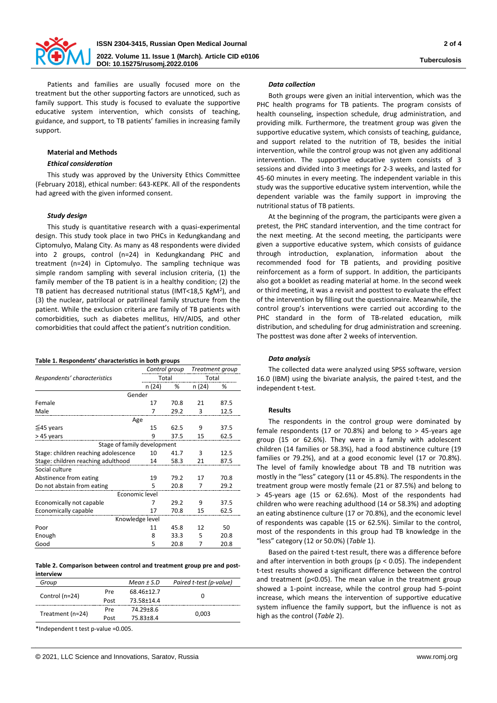

**Tuberculosis**

Patients and families are usually focused more on the treatment but the other supporting factors are unnoticed, such as family support. This study is focused to evaluate the supportive educative system intervention, which consists of teaching, guidance, and support, to TB patients' families in increasing family support.

# **Material and Methods**

## *Ethical consideration*

This study was approved by the University Ethics Committee (February 2018), ethical number: 643-KEPK. All of the respondents had agreed with the given informed consent.

# *Study design*

This study is quantitative research with a quasi-experimental design. This study took place in two PHCs in Kedungkandang and Ciptomulyo, Malang City. As many as 48 respondents were divided into 2 groups, control (n=24) in Kedungkandang PHC and treatment (n=24) in Ciptomulyo. The sampling technique was simple random sampling with several inclusion criteria, (1) the family member of the TB patient is in a healthy condition; (2) the TB patient has decreased nutritional status (IMT<18,5 KgM<sup>2</sup>), and (3) the nuclear, patrilocal or patrilineal family structure from the patient. While the exclusion criteria are family of TB patients with comorbidities, such as diabetes mellitus, HIV/AIDS, and other comorbidities that could affect the patient's nutrition condition.

#### **Table 1. Respondents' characteristics in both groups**

|                                      | Control group |      | Treatment group |      |  |  |  |
|--------------------------------------|---------------|------|-----------------|------|--|--|--|
| Respondents' characteristics         | Total         |      | Total           |      |  |  |  |
|                                      | n (24)        | %    | n (24)          | %    |  |  |  |
| Gender                               |               |      |                 |      |  |  |  |
| Female                               | 17            | 70.8 | 21              | 87.5 |  |  |  |
| Male                                 | 7             | 29.2 | 3               | 12.5 |  |  |  |
| Age                                  |               |      |                 |      |  |  |  |
| $≤45$ years                          | 15            | 62.5 | 9               | 37.5 |  |  |  |
| >45 years                            | 9             | 37.5 | 15              | 62.5 |  |  |  |
| Stage of family development          |               |      |                 |      |  |  |  |
| Stage: children reaching adolescence | 10            | 41.7 | 3               | 12.5 |  |  |  |
| Stage: children reaching adulthood   | 14            | 58.3 | 21              | 87.5 |  |  |  |
| Social culture                       |               |      |                 |      |  |  |  |
| Abstinence from eating               | 19            | 79.2 | 17              | 70.8 |  |  |  |
| Do not abstain from eating           | 5             | 20.8 | 7               | 29.2 |  |  |  |
| Economic level                       |               |      |                 |      |  |  |  |
| Economically not capable             | 7             | 29.2 | 9               | 37.5 |  |  |  |
| Economically capable                 | 17            | 70.8 | 15              | 62.5 |  |  |  |
| Knowledge level                      |               |      |                 |      |  |  |  |
| Poor                                 | 11            | 45.8 | 12              | 50   |  |  |  |
| Enough                               | 8             | 33.3 | 5               | 20.8 |  |  |  |
| Good                                 | 5             | 20.8 | 7               | 20.8 |  |  |  |

**Table 2. Comparison between control and treatment group pre and postinterview**

| Group            |      | Mean $±$ S.D | Paired t-test (p-value) |  |
|------------------|------|--------------|-------------------------|--|
| Control (n=24)   | Pre  | 68.46±12.7   |                         |  |
|                  | Post | 73.58±14.4   |                         |  |
| Treatment (n=24) | Pre  | 74.29±8.6    |                         |  |
|                  | Post | 75.83±8.4    | 0.003                   |  |
|                  |      |              |                         |  |

\*Independent t test p-value =0.005.

#### *Data collection*

Both groups were given an initial intervention, which was the PHC health programs for TB patients. The program consists of health counseling, inspection schedule, drug administration, and providing milk. Furthermore, the treatment group was given the supportive educative system, which consists of teaching, guidance, and support related to the nutrition of TB, besides the initial intervention, while the control group was not given any additional intervention. The supportive educative system consists of 3 sessions and divided into 3 meetings for 2-3 weeks, and lasted for 45-60 minutes in every meeting. The independent variable in this study was the supportive educative system intervention, while the dependent variable was the family support in improving the nutritional status of TB patients.

At the beginning of the program, the participants were given a pretest, the PHC standard intervention, and the time contract for the next meeting. At the second meeting, the participants were given a supportive educative system, which consists of guidance through introduction, explanation, information about the recommended food for TB patients, and providing positive reinforcement as a form of support. In addition, the participants also got a booklet as reading material at home. In the second week or third meeting, it was a revisit and posttest to evaluate the effect of the intervention by filling out the questionnaire. Meanwhile, the control group's interventions were carried out according to the PHC standard in the form of TB-related education, milk distribution, and scheduling for drug administration and screening. The posttest was done after 2 weeks of intervention.

## *Data analysis*

The collected data were analyzed using SPSS software, version 16.0 (IBM) using the bivariate analysis, the paired t-test, and the independent t-test.

#### **Results**

The respondents in the control group were dominated by female respondents (17 or 70.8%) and belong to > 45-years age group (15 or 62.6%). They were in a family with adolescent children (14 families or 58.3%), had a food abstinence culture (19 families or 79.2%), and at a good economic level (17 or 70.8%). The level of family knowledge about TB and TB nutrition was mostly in the "less" category (11 or 45.8%). The respondents in the treatment group were mostly female (21 or 87.5%) and belong to > 45-years age (15 or 62.6%). Most of the respondents had children who were reaching adulthood (14 or 58.3%) and adopting an eating abstinence culture (17 or 70.8%), and the economic level of respondents was capable (15 or 62.5%). Similar to the control, most of the respondents in this group had TB knowledge in the "less" category (12 or 50.0%) (*Table* 1).

Based on the paired t-test result, there was a difference before and after intervention in both groups ( $p < 0.05$ ). The independent t-test results showed a significant difference between the control and treatment (p<0.05). The mean value in the treatment group showed a 1-point increase, while the control group had 5-point increase, which means the intervention of supportive educative system influence the family support, but the influence is not as high as the control (*Table* 2).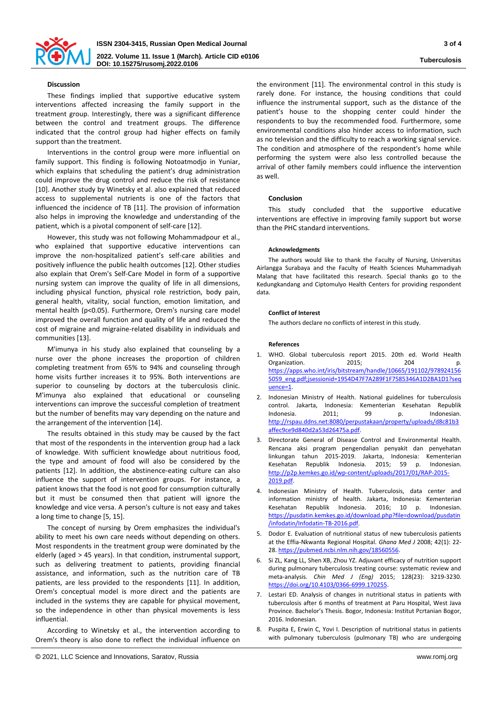

# **Discussion**

These findings implied that supportive educative system interventions affected increasing the family support in the treatment group. Interestingly, there was a significant difference between the control and treatment groups. The difference indicated that the control group had higher effects on family support than the treatment.

Interventions in the control group were more influential on family support. This finding is following Notoatmodjo in Yuniar, which explains that scheduling the patient's drug administration could improve the drug control and reduce the risk of resistance [10]. Another study by Winetsky et al. also explained that reduced access to supplemental nutrients is one of the factors that influenced the incidence of TB [11]. The provision of information also helps in improving the knowledge and understanding of the patient, which is a pivotal component of self-care [12].

However, this study was not following Mohammadpour et al., who explained that supportive educative interventions can improve the non-hospitalized patient's self-care abilities and positively influence the public health outcomes [12]. Other studies also explain that Orem's Self-Care Model in form of a supportive nursing system can improve the quality of life in all dimensions, including physical function, physical role restriction, body pain, general health, vitality, social function, emotion limitation, and mental health (p<0.05). Furthermore, Orem's nursing care model improved the overall function and quality of life and reduced the cost of migraine and migraine-related disability in individuals and communities [13].

M'imunya in his study also explained that counseling by a nurse over the phone increases the proportion of children completing treatment from 65% to 94% and counseling through home visits further increases it to 95%. Both interventions are superior to counseling by doctors at the tuberculosis clinic. M'imunya also explained that educational or counseling interventions can improve the successful completion of treatment but the number of benefits may vary depending on the nature and the arrangement of the intervention [14].

The results obtained in this study may be caused by the fact that most of the respondents in the intervention group had a lack of knowledge. With sufficient knowledge about nutritious food, the type and amount of food will also be considered by the patients [12]. In addition, the abstinence-eating culture can also influence the support of intervention groups. For instance, a patient knows that the food is not good for consumption culturally but it must be consumed then that patient will ignore the knowledge and vice versa. A person's culture is not easy and takes a long time to change [5, 15].

The concept of nursing by Orem emphasizes the individual's ability to meet his own care needs without depending on others. Most respondents in the treatment group were dominated by the elderly (aged > 45 years). In that condition, instrumental support, such as delivering treatment to patients, providing financial assistance, and information, such as the nutrition care of TB patients, are less provided to the respondents [11]. In addition, Orem's conceptual model is more direct and the patients are included in the systems they are capable for physical movement, so the independence in other than physical movements is less influential.

According to Winetsky et al., the intervention according to Orem's theory is also done to reflect the individual influence on

the environment [11]. The environmental control in this study is rarely done. For instance, the housing conditions that could influence the instrumental support, such as the distance of the patient's house to the shopping center could hinder the respondents to buy the recommended food. Furthermore, some environmental conditions also hinder access to information, such as no television and the difficulty to reach a working signal service. The condition and atmosphere of the respondent's home while performing the system were also less controlled because the arrival of other family members could influence the intervention as well.

## **Conclusion**

This study concluded that the supportive educative interventions are effective in improving family support but worse than the PHC standard interventions.

## **Acknowledgments**

The authors would like to thank the Faculty of Nursing, Universitas Airlangga Surabaya and the Faculty of Health Sciences Muhammadiyah Malang that have facilitated this research. Special thanks go to the Kedungkandang and Ciptomulyo Health Centers for providing respondent data.

# **Conflict of Interest**

The authors declare no conflicts of interest in this study.

# **References**

- 1. WHO. Global tuberculosis report 2015. 20th ed. World Health Organization. 2015; 204 p. [https://apps.who.int/iris/bitstream/handle/10665/191102/978924156](https://apps.who.int/iris/bitstream/handle/10665/191102/9789241565059_eng.pdf;jsessionid=1954D47F7A289F1F7585346A1D2BA1D1?sequence=1) [5059\\_eng.pdf;jsessionid=1954D47F7A289F1F7585346A1D2BA1D1?seq](https://apps.who.int/iris/bitstream/handle/10665/191102/9789241565059_eng.pdf;jsessionid=1954D47F7A289F1F7585346A1D2BA1D1?sequence=1) [uence=1.](https://apps.who.int/iris/bitstream/handle/10665/191102/9789241565059_eng.pdf;jsessionid=1954D47F7A289F1F7585346A1D2BA1D1?sequence=1)
- 2. Indonesian Ministry of Health. National guidelines for tuberculosis control. Jakarta, Indonesia: Kementerian Kesehatan Republik Indonesia. 2011; 99 p. Indonesian. [http://rspau.ddns.net:8080/perpustakaan/property/uploads/d8c81b3](http://rspau.ddns.net:8080/perpustakaan/property/uploads/d8c81b3affec9ce9d840d2a53d26475a.pdf) [affec9ce9d840d2a53d26475a.pdf.](http://rspau.ddns.net:8080/perpustakaan/property/uploads/d8c81b3affec9ce9d840d2a53d26475a.pdf)
- 3. Directorate General of Disease Control and Environmental Health. Rencana aksi program pengendalian penyakit dan penyehatan linkungan tahun 2015-2019. Jakarta, Indonesia: Kementerian Kesehatan Republik Indonesia. 2015; 59 p. Indonesian. [http://p2p.kemkes.go.id/wp-content/uploads/2017/01/RAP-2015-](http://p2p.kemkes.go.id/wp-content/uploads/2017/01/RAP-2015-2019.pdf) [2019.pdf.](http://p2p.kemkes.go.id/wp-content/uploads/2017/01/RAP-2015-2019.pdf)
- 4. Indonesian Ministry of Health. Tuberculosis, data center and information ministry of health. Jakarta, Indonesia: Kementerian Kesehatan Republik Indonesia. 2016; 10 p. Indonesian. [https://pusdatin.kemkes.go.id/download.php?file=download/pusdatin](https://pusdatin.kemkes.go.id/download.php?file=download/pusdatin/infodatin/Infodatin-TB-2016.pdf) [/infodatin/Infodatin-TB-2016.pdf.](https://pusdatin.kemkes.go.id/download.php?file=download/pusdatin/infodatin/Infodatin-TB-2016.pdf)
- 5. Dodor E. Evaluation of nutritional status of new tuberculosis patients at the Effia-Nkwanta Regional Hospital. *Ghana Med J* 2008; 42(1): 22- 28[. https://pubmed.ncbi.nlm.nih.gov/18560556.](https://pubmed.ncbi.nlm.nih.gov/18560556)
- 6. Si ZL, Kang LL, Shen XB, Zhou YZ. Adjuvant efficacy of nutrition support during pulmonary tuberculosis treating course: systematic review and meta-analysis. *Chin Med J (Eng)* 2015; 128(23): 3219-3230. [https://doi.org/10.4103/0366-6999.170255.](https://doi.org/10.4103/0366-6999.170255)
- Lestari ED. Analysis of changes in nutritional status in patients with tuberculosis after 6 months of treatment at Paru Hospital, West Java Province. Bachelor's Thesis. Bogor, Indonesia: Institut Pcrtanian Bogor, 2016. Indonesian.
- 8. Puspita E, Erwin C, Yovi I. Description of nutritional status in patients with pulmonary tuberculosis (pulmonary TB) who are undergoing